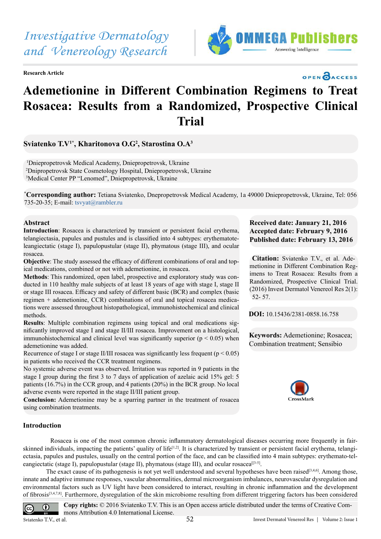*Investigative Dermatology and Venereology Research*

**Research Article**



## OPEN OACCESS

# **Ademetionine in Different Combination Regimens to Treat Rosacea: Results from a Randomized, Prospective Clinical Trial**

### **Sviatenko Т.V1\*, Kharitonova О.G<sup>2</sup> , Starostina О.А<sup>3</sup>**

1 Dniepropetrovsk Medical Academy, Dniepropetrovsk, Ukraine 2 Dnipropetrovsk State Cosmetology Hospital, Dniepropetrovsk, Ukraine<sup>3</sup>Medical Center PP "Lenomed", Dniepropetrovsk, Ukraine

**\* Corresponding author:** Tetiana Sviatenko, Dnepropetrovsk Medical Academy, 1a 49000 Dniepropetrovsk, Ukraine, Tel: 056 735-20-35; E-mail: [tsvyat@rambler.ru](mailto:tsvyat@rambler.ru)

#### **Abstract**

**Introduction**: Rosacea is characterized by transient or persistent facial erythema, telangiectasia, papules and pustules and is classified into 4 subtypes: erythematoteleangiectatic (stage I), papulopustular (stage II), phymatous (stage III), and ocular rosacea.

**Objective**: The study assessed the efficacy of different combinations of oral and topical medications, combined or not with ademetionine, in rosacea.

**Methods**: This randomized, open label, prospective and exploratory study was conducted in 110 healthy male subjects of at least 18 years of age with stage I, stage II or stage III rosacea. Efficacy and safety of different basic (BCR) and complex (basic regimen + ademetionine, CCR) combinations of oral and topical rosacea medications were assessed throughout histopathological, immunohistochemical and clinical methods.

**Results**: Multiple combination regimens using topical and oral medications significantly improved stage I and stage II/III rosacea. Improvement on a histological, immunohistochemical and clinical level was significantly superior ( $p < 0.05$ ) when ademetionine was added.

Recurrence of stage I or stage II/III rosacea was significantly less frequent ( $p < 0.05$ ) in patients who received the CCR treatment regimens.

No systemic adverse event was observed. Irritation was reported in 9 patients in the stage I group during the first 3 to 7 days of application of azelaic acid 15% gel: 5 patients (16.7%) in the CCR group, and 4 patients (20%) in the BCR group. No local adverse events were reported in the stage II/III patient group.

**Conclusion:** Ademetionine may be a sparring partner in the treatment of rosacea using combination treatments.

#### **Received date: January 21, 2016 Accepted date: February 9, 2016 Published date: February 13, 2016**

**Citation:** Sviatenko Т.V., et al. Ademetionine in Different Combination Regimens to Treat Rosacea: Results from a Randomized, Prospective Clinical Trial. (2016) Invest Dermatol Venereol Res 2(1): 52- 57.

**DOI:** [10.15436/2381-0858.16.](http://www.dx.doi.org/10.15436/2381-0858.16.758)758

**Keywords:** Ademetionine; Rosacea; Combination treatment; Sensibio



#### **Introduction**

 Rosacea is one of the most common chronic inflammatory dermatological diseases occurring more frequently in fairskinned individuals, impacting the patients' quality of life<sup>[1,2]</sup>. It is characterized by transient or persistent facial erythema, telangiectasia, papules and pustules, usually on the central portion of the face, and can be classified into 4 main subtypes: erythemato-teleangiectatic (stage I), papulopustular (stage II), phymatous (stage III), and ocular rosacea<sup>[[3-5]</sup>.

The exact cause of its pathogenesis is not yet well understood and several hypotheses have been raised $[3,4,6]$ . Among those, innate and adaptive immune responses, vascular abnormalities, dermal microorganism imbalances, neurovascular dysregulation and environmental factors such as UV light have been considered to interact, resulting in chronic inflammation and the development of fibrosis[3,4,7,8]. Furthermore, dysregulation of the skin microbiome resulting from different triggering factors has been considered

**Copy rights:** © 2016 Sviatenko Т.V. This is an Open access article distributed under the terms of Creative Com- $\odot$  $|cc|$ mons Attribution 4.0 International License. Sviatenko T.V., et al.  $\overline{22}$  and  $\overline{52}$  invest Dermatol Venereol Res | Volume 2: Issue 1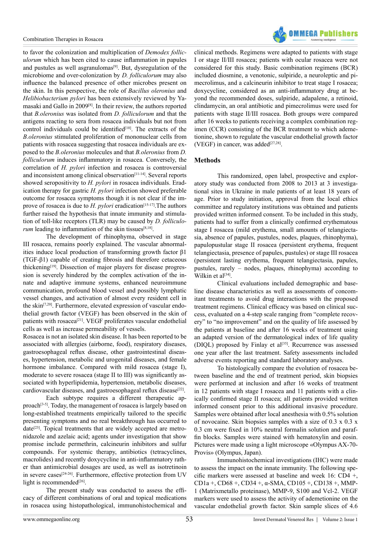

to favor the colonization and multiplication of *Demodex folliculorum* which has been cited to cause inflammation in papules and pustules as well asgranulomas<sup>[9]</sup>. But, dysregulation of the microbiome and over-colonization by *D. folliculorum* may also influence the balanced presence of other microbes present on the skin. In this perspective, the role of *Bacillus oleronius* and *Helibiobacterium pylori* has been extensively reviewed by Yamasaki and Gallo in 2009[8]. In their review, the authors reported that *B.oleronius* was isolated from *D. folliculorum* and that the antigens reacting to sera from rosacea individuals but not from control individuals could be identified<sup>[10]</sup>. The extracts of the *B.oleronius* stimulated proliferation of mononuclear cells from patients with rosacea suggesting that rosacea individuals are exposed to the *B.oleronius* molecules and that *B.oleronius* from *D. folliculorum* induces inflammatory in rosacea. Conversely, the correlation of *H. pylori* infection and rosacea is controversial and inconsistent among clinical observation<sup>[11-14]</sup>. Several reports showed seropositivity to *H. pylori* in rosacea individuals. Eradication therapy for gastric *H. pylori* infection showed preferable outcome for rosacea symptoms though it is not clear if the improve of rosacea is due to *H. pylori* eradication<sup>[15-17]</sup>. The authors further raised the hypothesis that innate immunity and stimulation of toll-like receptors (TLR) may be caused by *D. folliculorum* leading to inflammation of the skin tissues<sup>[8,18]</sup>.

 The development of rhinophyma, observed in stage III rosacea, remains poorly explained. The vascular abnormalities induce local production of transforming growth factor β1 (TGF-β1) capable of creating fibrosis and therefore cetaceous thickening<sup>[19]</sup>. Dissection of major players for disease progression is severely hindered by the complex activation of the innate and adaptive immune systems, enhanced neuroimmune communication, profound blood vessel and possibly lymphatic vessel changes, and activation of almost every resident cell in the skin<sup>[7,20]</sup>. Furthermore, elevated expression of vascular endothelial growth factor (VEGF) has been observed in the skin of patients with rosacea<sup>[21]</sup>. VEGF proliferates vascular endothelial cells as well as increase permeability of vessels.

Rosacea is not an isolated skin disease. It has been reported to be associated with allergies (airborne, food), respiratory diseases, gastroesophageal reflux disease, other gastrointestinal diseases, hypertension, metabolic and urogenital diseases, and female hormone imbalance. Compared with mild rosacea (stage I), moderate to severe rosacea (stage II to III) was significantly associated with hyperlipidemia, hypertension, metabolic diseases, cardiovascular diseases, and gastroesophageal reflux disease<sup>[22]</sup>.

 Each subtype requires a different therapeutic approach<sup>[3-5]</sup>. Today, the management of rosacea is largely based on long-established treatments empirically tailored to the specific presenting symptoms and no real breakthrough has occurred to  $date^{[23]}$ . Topical treatments that are widely accepted are metronidazole and azelaic acid; agents under investigation that show promise include permethrin, calcineurin inhibitors and sulfur compounds. For systemic therapy, antibiotics (tetracyclines, macrolides) and recently doxycycline in anti-inflammatory rather than antimicrobial dosages are used, as well as isotretinoin in severe cases<sup>[24-26]</sup>. Furthermore, effective protection from UV light is recommended<sup>[26]</sup>.

 The present study was conducted to assess the efficacy of different combinations of oral and topical medications in rosacea using histopathological, immunohistochemical and

clinical methods. Regimens were adapted to patients with stage I or stage II/III rosacea; patients with ocular rosacea were not considered for this study. Basic combination regimens (BCR) included diosmine, a venotonic, sulpiride, a neuroleptic and pimecrolimus, and a calcineurin inhibitor to treat stage I rosacea; doxycycline, considered as an anti-inflammatory drug at beyond the recommended doses, sulpiride, adapalene, a retinoid, clindamycin, an oral antibiotic and pimecrolimus were used for patients with stage II/III rosacea. Both groups were compared after 16 weeks to patients receiving a complex combination regimen (CCR) consisting of the BCR treatment to which ademetionine, shown to regulate the vascular endothelial growth factor (VEGF) in cancer, was added $[27,28]$ .

#### **Methods**

 This randomized, open label, prospective and exploratory study was conducted from 2008 to 2013 at 3 investigational sites in Ukraine in male patients of at least 18 years of age. Prior to study initiation, approval from the local ethics committee and regulatory institutions was obtained and patients provided written informed consent. To be included in this study, patients had to suffer from a clinically confirmed erythematous stage I rosacea (mild erythema, small amounts of telangiectasia, absence of papules, pustules, nodes, plaques, rhinophyma), papulopustular stage II rosacea (persistent erythema, frequent telangiectasia, presence of papules, pustules) or stage III rosacea (persistent lasting erythema, frequent telangiectasia, papules, pustules, rarely – nodes, plaques, rhinophyma) according to Wilkin et al<sup>[34]</sup>.

 Clinical evaluations included demographic and baseline disease characteristics as well as assessments of concomitant treatments to avoid drug interactions with the proposed treatment regimens. Clinical efficacy was based on clinical success, evaluated on a 4-step scale ranging from "complete recovery" to "no improvement" and on the quality of life assessed by the patients at baseline and after 16 weeks of treatment using an adapted version of the dermatological index of life quality (DIQL) proposed by Finlay et  $al^{[35]}$ . Recurrence was assessed one year after the last treatment. Safety assessments included adverse events reporting and standard laboratory analyses.

 To histologically compare the evolution of rosacea between baseline and the end of treatment period, skin biopsies were performed at inclusion and after 16 weeks of treatment in 12 patients with stage I rosacea and 11 patients with a clinically confirmed stage II rosacea; all patients provided written informed consent prior to this additional invasive procedure. Samples were obtained after local anesthesia with 0.5% solution of novocaine. Skin biopsies samples with a size of 0.3 x 0.3 x 0.3 cm were fixed in 10% neutral formalin solution and paraffin blocks. Samples were stained with hematoxylin and eosin. Pictures were made using a light microscope «Olympus AX-70- Provis» (Olympus, Japan).

 Immunohistochemical investigations (IHC) were made to assess the impact on the innate immunity. The following specific markers were assessed at baseline and week 16: CD4 +, CD1a +, CD68 +, CD34 +,  $\alpha$ -SMA, CD105 +, CD138 +, MMP-1 (Matrixmetallo proteinase), MMP-9, S100 and Vcl-2. VEGF markers were used to assess the activity of ademetionine on the vascular endothelial growth factor. Skin sample slices of 4.6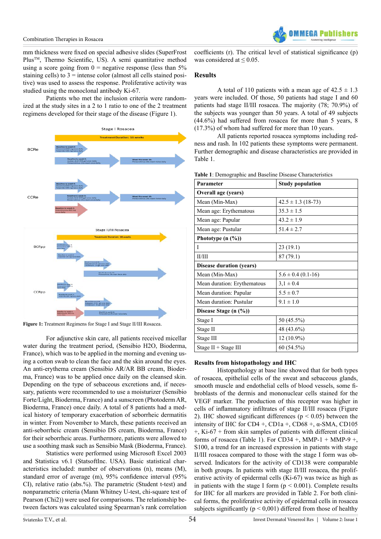mm thickness were fixed on special adhesive slides (SuperFrost Plus<sup>™</sup>, Thermo Scientific, US). A semi quantitative method using a score going from  $0 =$  negative response (less than 5%) staining cells) to  $3$  = intense color (almost all cells stained positive) was used to assess the response. Proliferative activity was studied using the monoclonal antibody Ki-67.

 Patients who met the inclusion criteria were randomized at the study sites in a 2 to 1 ratio to one of the 2 treatment regimens developed for their stage of the disease (Figure 1).



**Figure 1:** Treatment Regimens for Stage I and Stage II/III Rosacea.

For adjunctive skin care, all patients received micellar water during the treatment period, (Sensibio H2O, Bioderma, France), which was to be applied in the morning and evening using a cotton swab to clean the face and the skin around the eyes. An anti-erythema cream (Sensibio AR/AR BB cream, Bioderma, France) was to be applied once daily on the cleansed skin. Depending on the type of sebaceous excretions and, if necessary, patients were recommended to use a moisturizer (Sensibio Forte/Light, Bioderma, France) and a sunscreen (PhotodermAR, Bioderma, France) once daily. A total of 8 patients had a medical history of temporary exacerbation of seborrheic dermatitis in winter. From November to March, these patients received an anti-seborrheic cream (Sensibio DS cream, Bioderma, France) for their seborrheic areas. Furthermore, patients were allowed to use a soothing mask such as Sensibio Mask (Bioderma, France).

Statistics were performed using Microsoft Excel 2003 and Statistica v6.1 (StatsoftInc. USA). Basic statistical characteristics included: number of observations (n), means (M), standard error of average (m), 95% confidence interval (95% CI), relative ratio (abs.%). The parametric (Student t-test) and nonparametric criteria (Mann Whitney U-test, chi-square test of Pearson (Chi2)) were used for comparisons. The relationship between factors was calculated using Spearman's rank correlation

coefficients (r). The critical level of statistical significance (p) was considered at  $\leq 0.05$ .

#### **Results**

A total of 110 patients with a mean age of  $42.5 \pm 1.3$ years were included. Of those, 50 patients had stage I and 60 patients had stage II/III rosacea. The majority (78; 70.9%) of the subjects was younger than 50 years. A total of 49 subjects (44.6%) had suffered from rosacea for more than 5 years, 8 (17.3%) of whom had suffered for more than 10 years.

 All patients reported rosacea symptoms including redness and rash. In 102 patients these symptoms were permanent. Further demographic and disease characteristics are provided in Table 1.

| Parameter                       | <b>Study population</b> |  |  |  |
|---------------------------------|-------------------------|--|--|--|
| Overall age (years)             |                         |  |  |  |
| Mean (Min-Max)                  | $42.5 \pm 1.3$ (18-73)  |  |  |  |
| Mean age: Erythematous          | $35.3 \pm 1.5$          |  |  |  |
| Mean age: Papular               | $43.2 \pm 1.9$          |  |  |  |
| Mean age: Pustular              | $51.4 \pm 2.7$          |  |  |  |
| Phototype $(n \ (\%)$           |                         |  |  |  |
| I                               | 23(19.1)                |  |  |  |
| II/III                          | 87(79.1)                |  |  |  |
| <b>Disease duration (years)</b> |                         |  |  |  |
| Mean (Min-Max)                  | $5.6 \pm 0.4$ (0.1-16)  |  |  |  |
| Mean duration: Erythematous     | $3,1 \pm 0.4$           |  |  |  |
| Mean duration: Papular          | $5.5 \pm 0.7$           |  |  |  |
| Mean duration: Pustular         | $9.1 \pm 1.0$           |  |  |  |
| Disease Stage (n (%))           |                         |  |  |  |
| Stage I                         | 50 (45.5%)              |  |  |  |
| Stage II                        | 48 (43.6%)              |  |  |  |
| Stage III                       | 12 (10.9%)              |  |  |  |
| Stage $II + Stage III$          | 60(54.5%)               |  |  |  |

**Table 1**: Demographic and Baseline Disease Characteristics

#### **Results from histopathology and IHC**

 Histopathology at base line showed that for both types of rosacea, epithelial cells of the sweat and sebaceous glands, smooth muscle and endothelial cells of blood vessels, some fibroblasts of the dermis and mononuclear cells stained for the VEGF marker. The production of this receptor was higher in cells of inflammatory infiltrates of stage II/III rosacea (Figure 2). IHC showed significant differences ( $p < 0.05$ ) between the intensity of IHC for CD4 +, CD1a +, CD68 +,  $\alpha$ -SMA, CD105  $+$ , Ki-67  $+$  from skin samples of patients with different clinical forms of rosacea (Table 1). For CD34 +, MMP-1 + MMP-9 +, S100, a trend for an increased expression in patients with stage II/III rosacea compared to those with the stage I form was observed. Indicators for the activity of CD138 were comparable in both groups. In patients with stage II/III rosacea, the proliferative activity of epidermal cells (Ki-67) was twice as high as in patients with the stage I form  $(p < 0.001)$ . Complete results for IHC for all markers are provided in Table 2. For both clinical forms, the proliferative activity of epidermal cells in rosacea subjects significantly ( $p < 0.001$ ) differed from those of healthy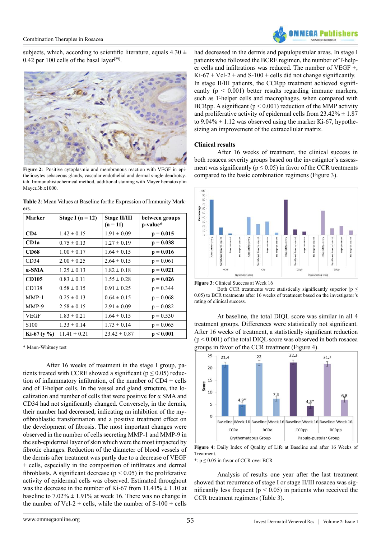

subjects, which, according to scientific literature, equals  $4.30 \pm$ 0.42 per 100 cells of the basal layer<sup>[29]</sup>.



Figure 2: Positive cytoplasmic and membranous reaction with VEGF in epitheliocytes sebaceous glands, vascular endothelial and dermal single dendrotsytah. Immunohistochemical method, additional staining with Mayer hematoxylin Mayer 3b x 1000

**Table 2**: Mean Values at Baseline forthe Expression of Immunity Markers.

| Marker           | Stage I ( $n = 12$ ) | <b>Stage II/III</b><br>$(n = 11)$ | between groups<br>p-value* |
|------------------|----------------------|-----------------------------------|----------------------------|
| CD4              | $1.42 \pm 0.15$      | $1.91 \pm 0.09$                   | $p = 0.015$                |
| CD1a             | $0.75 \pm 0.13$      | $1.27 \pm 0.19$                   | $p = 0.038$                |
| <b>CD68</b>      | $1.00 \pm 0.17$      | $1.64 \pm 0.15$                   | $p = 0.016$                |
| CD34             | $2.00 \pm 0.25$      | $2.64 \pm 0.15$                   | $p = 0.061$                |
| $\alpha$ -SMA    | $1.25 \pm 0.13$      | $1.82 \pm 0.18$                   | $p = 0.021$                |
| <b>CD105</b>     | $0.83 \pm 0.11$      | $1.55 \pm 0.28$                   | $p = 0.026$                |
| CD138            | $0.58 \pm 0.15$      | $0.91 \pm 0.25$                   | $p = 0.344$                |
| $MMP-1$          | $0.25 \pm 0.13$      | $0.64 \pm 0.15$                   | $p = 0.068$                |
| MMP-9            | $2.58 \pm 0.15$      | $2.91 \pm 0.09$                   | $p = 0.082$                |
| VEGF             | $1.83 \pm 0.21$      | $1.64 \pm 0.15$                   | $p = 0.530$                |
| S <sub>100</sub> | $1.33 \pm 0.14$      | $1.73 \pm 0.14$                   | $p = 0.065$                |
| Ki-67 ( $y\%$ )  | $11.41 \pm 0.21$     | $23.42 \pm 0.87$                  | p < 0.001                  |

\* Mann-Whitney test

After 16 weeks of treatment in the stage I group, patients treated with CCRE showed a significant ( $p \le 0.05$ ) reduction of inflammatory infiltration, of the number of CD4 + cells and of T-helper cells. In the vessel and gland structure, the localization and number of cells that were positive for  $\alpha$  SMA and CD34 had not significantly changed. Conversely, in the dermis, their number had decreased, indicating an inhibition of the myofibroblastic transformation and a positive treatment effect on the development of fibrosis. The most important changes were observed in the number of cells secreting MMP-1 and MMP-9 in the sub-epidermal layer of skin which were the most impacted by fibrotic changes. Reduction of the diameter of blood vessels of the dermis after treatment was partly due to a decrease of VEGF + cells, especially in the composition of infiltrates and dermal fibroblasts. A significant decrease ( $p < 0.05$ ) in the proliferative activity of epidermal cells was observed. Estimated throughout was the decrease in the number of Ki-67 from  $11.41\% \pm 1.10$  at baseline to  $7.02\% \pm 1.91\%$  at week 16. There was no change in the number of Vcl-2 + cells, while the number of  $S-100$  + cells had decreased in the dermis and papulopustular areas. In stage I patients who followed the BCRE regimen, the number of T-helper cells and infiltrations was reduced. The number of VEGF +,  $Ki-67 + Vc1-2 + and S-100 + cells did not change significantly.$ In stage II/III patients, the CCRpp treatment achieved significantly  $(p < 0.001)$  better results regarding immune markers, such as T-helper cells and macrophages, when compared with BCRpp. A significant ( $p < 0.001$ ) reduction of the MMP activity and proliferative activity of epidermal cells from  $23.42\% \pm 1.87$ to  $9.04\% \pm 1.12$  was observed using the marker Ki-67, hypothesizing an improvement of the extracellular matrix.

#### **Clinical results**

 After 16 weeks of treatment, the clinical success in both rosacea severity groups based on the investigator's assessment was significantly ( $p \le 0.05$ ) in favor of the CCR treatments compared to the basic combination regimens (Figure 3).



**Figure 3**: Clinical Success at Week 16

Both CCR treatments were statistically significantly superior ( $p \leq$ 0.05) to BCR treatments after 16 weeks of treatment based on the investigator's rating of clinical success.

 At baseline, the total DIQL score was similar in all 4 treatment groups. Differences were statistically not significant. After 16 weeks of treatment, a statistically significant reduction  $(p < 0.001)$  of the total DIQL score was observed in both rosacea groups in favor of the CCR treatment (Figure 4).



**Figure 4:** Daily Index of Quality of Life at Baseline and after 16 Weeks of Treatment.

\*:  $p \le 0.05$  in favor of CCR over BCR

 Analysis of results one year after the last treatment showed that recurrence of stage I or stage II/III rosacea was significantly less frequent ( $p < 0.05$ ) in patients who received the CCR treatment regimens (Table 3).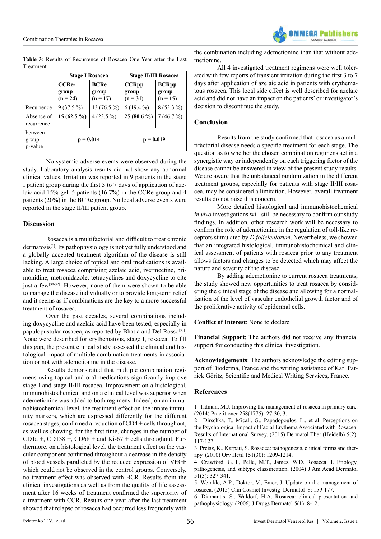Combination Therapies in Rosacea



**Table 3**: Results of Recurrence of Rosacea One Year after the Last Treatment.

|                              | <b>Stage I Rosacea</b>              |                                    | <b>Stage II/III Rosacea</b>         |                                     |
|------------------------------|-------------------------------------|------------------------------------|-------------------------------------|-------------------------------------|
|                              | <b>CCRe-</b><br>group<br>$(n = 24)$ | <b>BCRe</b><br>group<br>$(n = 17)$ | <b>CCRpp</b><br>group<br>$(n = 31)$ | <b>BCRpp</b><br>group<br>$(n = 15)$ |
| Recurrence                   | $9(37.5\%)$                         | 13 $(76.5\%)$                      | $6(19.4\%)$                         | $8(53.3\%)$                         |
| Absence of<br>recurrence     | $15(62.5\%)$                        | $4(23.5\%)$                        | $25(80.6\%)$                        | 7(46.7%)                            |
| between-<br>group<br>p-value | $p = 0.014$                         |                                    | $p = 0.019$                         |                                     |

 No systemic adverse events were observed during the study. Laboratory analysis results did not show any abnormal clinical values. Irritation was reported in 9 patients in the stage I patient group during the first 3 to 7 days of application of azelaic acid 15% gel: 5 patients (16.7%) in the CCRe group and 4 patients (20%) in the BCRe group. No local adverse events were reported in the stage II/III patient group.

#### **Discussion**

 Rosacea is a multifactorial and difficult to treat chronic dermatosis<sup>[1]</sup>. Its pathophysiology is not yet fully understood and a globally accepted treatment algorithm of the disease is still lacking. A large choice of topical and oral medications is available to treat rosacea comprising azelaic acid, ivermectine, brimonidine, metronidazole, tetracyclines and doxycycline to cite just a few<sup>[30-32]</sup>. However, none of them were shown to be able to manage the disease individually or to provide long-term relief and it seems as if combinations are the key to a more successful treatment of rosacea.

 Over the past decades, several combinations including doxycycline and azelaic acid have been tested, especially in papulopustular rosacea, as reported by Bhatia and Del Rosso<sup>[33]</sup>. None were described for erythematous, stage I, rosacea. To fill this gap, the present clinical study assessed the clinical and histological impact of multiple combination treatments in association or not with ademetionine in the disease.

 Results demonstrated that multiple combination regimens using topical and oral medications significantly improve stage I and stage II/III rosacea. Improvement on a histological, immunohistochemical and on a clinical level was superior when ademetionine was added to both regimens. Indeed, on an immunohistochemical level, the treatment effect on the innate immunity markers, which are expressed differently for the different rosacea stages, confirmed a reduction of CD4 + cells throughout, as well as showing, for the first time, changes in the number of  $CD1a +$ ,  $CD138 +$ ,  $CD68 +$  and  $Ki-67 +$  cells throughout. Furthermore, on a histological level, the treatment effect on the vascular component confirmed throughout a decrease in the density of blood vessels paralleled by the reduced expression of VEGF which could not be observed in the control groups. Conversely, no treatment effect was observed with BCR. Results from the clinical investigations as well as from the quality of life assessment after 16 weeks of treatment confirmed the superiority of a treatment with CCR. Results one year after the last treatment showed that relapse of rosacea had occurred less frequently with

the combination including ademetionine than that without ademetionine.

 All 4 investigated treatment regimens were well tolerated with few reports of transient irritation during the first 3 to 7 days after application of azelaic acid in patients with erythematous rosacea. This local side effect is well described for azelaic acid and did not have an impact on the patients' or investigator's decision to discontinue the study.

#### **Conclusion**

 Results from the study confirmed that rosacea as a multifactorial disease needs a specific treatment for each stage. The question as to whether the chosen combination regimens act in a synergistic way or independently on each triggering factor of the disease cannot be answered in view of the present study results. We are aware that the unbalanced randomization in the different treatment groups, especially for patients with stage II/III rosacea, may be considered a limitation. However, overall treatment results do not raise this concern.

 More detailed histological and immunohistochemical *in vivo* investigations will still be necessary to confirm our study findings. In addition, other research work will be necessary to confirm the role of ademetionine in the regulation of toll-like receptors stimulated by *D.foliciculorum*. Nevertheless, we showed that an integrated histological, immunohistochemical and clinical assessment of patients with rosacea prior to any treatment allows factors and changes to be detected which may affect the nature and severity of the disease.

 By adding ademetionine to current rosacea treatments, the study showed new opportunities to treat rosacea by considering the clinical stage of the disease and allowing for a normalization of the level of vascular endothelial growth factor and of the proliferative activity of epidermal cells.

**Conflict of Interest**: None to declare

**Financial Support**: The authors did not receive any financial support for conducting this clinical investigation.

**Acknowledgements**: The authors acknowledge the editing support of Bioderma, France and the writing assistance of Karl Patrick Göritz, Scientific and Medical Writing Services, France.

#### **References**

1. Tidman, M.J. Improving the [management](http://www.ncbi.nlm.nih.gov/pubmed/25591285) of rosacea in primary care. (2014) [Practitioner](http://www.ncbi.nlm.nih.gov/pubmed/25591285) 258(1775): 27-30, 3.

2. Dirschka, T., Micali, G., [Papadopoulos,](http://www.ncbi.nlm.nih.gov/pubmed/26022994) L., et al. Perceptions on the [Psychological](http://www.ncbi.nlm.nih.gov/pubmed/26022994) Impact of Facial Erythema Associated with Rosacea: Results of [International](http://www.ncbi.nlm.nih.gov/pubmed/26022994) Survey. (2015) Dermatol Ther (Heidelb) 5(2): [117-127.](http://www.ncbi.nlm.nih.gov/pubmed/26022994)

3. Preisz, K., Karpati, S. Rosacea: [pathogenesis,](http://www.ncbi.nlm.nih.gov/pubmed/20650811) clinical forms and therapy. (2010) Orv Hetil 151(30): [1209-1214.](http://www.ncbi.nlm.nih.gov/pubmed/20650811)

4. [Crawford,](http://www.ncbi.nlm.nih.gov/pubmed/15337973) G.H., Pelle, M.T., James, W.D. Rosacea: I. Etiology, pathogenesis, and subtype [classification.](http://www.ncbi.nlm.nih.gov/pubmed/15337973) (2004) J Am Acad Dermatol 51(3): [327-341.](http://www.ncbi.nlm.nih.gov/pubmed/15337973)

5. Weinkle, A.P., Doktor, V., Emer, J. Update on the [management](http://www.ncbi.nlm.nih.gov/pubmed/25897253) of rosacea. (2015) Clin Cosmet [Investig Dermatol 8:](http://www.ncbi.nlm.nih.gov/pubmed/25897253) 159-177.

6. Diamantis, S., Waldorf, H.A. Rosacea: clinical [presentation](http://www.ncbi.nlm.nih.gov/pubmed/16468286) and [pathophysiology.](http://www.ncbi.nlm.nih.gov/pubmed/16468286) (2006) J Drugs Dermatol 5(1): 8-12.